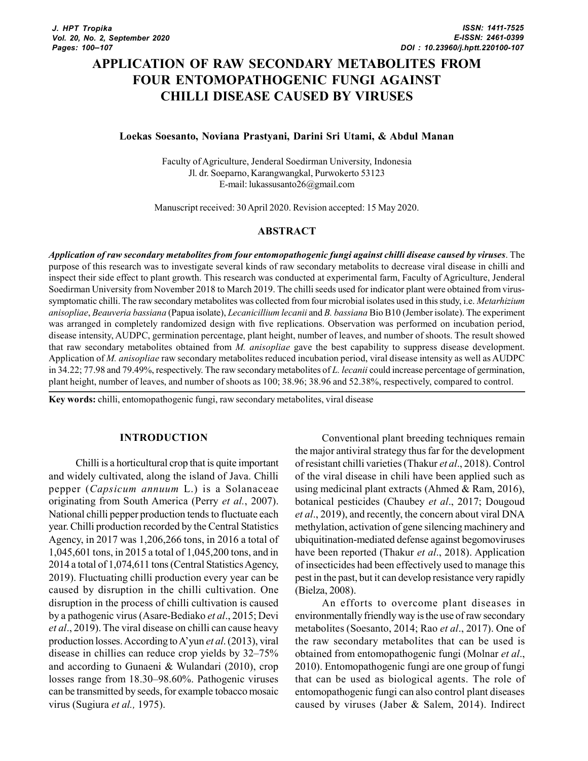# APPLICATION OF RAW SECONDARY METABOLITES FROM FOUR ENTOMOPATHOGENIC FUNGI AGAINST CHILLI DISEASE CAUSED BY VIRUSES

#### Loekas Soesanto, Noviana Prastyani, Darini Sri Utami, & Abdul Manan

Faculty of Agriculture, Jenderal Soedirman University, Indonesia Jl. dr. Soeparno, Karangwangkal, Purwokerto 53123 E-mail: lukassusanto26@gmail.com

Manuscript received: 30 April 2020. Revision accepted: 15 May 2020.

#### ABSTRACT

Application of raw secondary metabolites from four entomopathogenic fungi against chilli disease caused by viruses. The purpose of this research was to investigate several kinds of raw secondary metabolits to decrease viral disease in chilli and inspect their side effect to plant growth. This research was conducted at experimental farm, Faculty of Agriculture, Jenderal Soedirman University from November 2018 to March 2019. The chilli seeds used for indicator plant were obtained from virussymptomatic chilli. The raw secondary metabolites was collected from four microbial isolates used in this study, i.e. *Metarhizium* anisopliae, Beauveria bassiana (Papua isolate), Lecanicillium lecanii and B. bassiana Bio B10 (Jember isolate). The experiment was arranged in completely randomized design with five replications. Observation was performed on incubation period, disease intensity, AUDPC, germination percentage, plant height, number of leaves, and number of shoots. The result showed that raw secondary metabolites obtained from M. anisopliae gave the best capability to suppress disease development. Application of M. anisopliae raw secondary metabolites reduced incubation period, viral disease intensity as well as AUDPC in 34.22; 77.98 and 79.49%, respectively. The raw secondary metabolites of L. lecanii could increase percentage of germination, plant height, number of leaves, and number of shoots as 100; 38.96; 38.96 and 52.38%, respectively, compared to control.

Key words: chilli, entomopathogenic fungi, raw secondary metabolites, viral disease

#### INTRODUCTION

Chilli is a horticultural crop that is quite important and widely cultivated, along the island of Java. Chilli pepper (Capsicum annuum L.) is a Solanaceae originating from South America (Perry et al., 2007). National chilli pepper production tends to fluctuate each year. Chilli production recorded by the Central Statistics Agency, in 2017 was 1,206,266 tons, in 2016 a total of 1,045,601 tons, in 2015 a total of 1,045,200 tons, and in 2014 a total of 1,074,611 tons (Central Statistics Agency, 2019). Fluctuating chilli production every year can be caused by disruption in the chilli cultivation. One disruption in the process of chilli cultivation is caused by a pathogenic virus (Asare-Bediako et al., 2015; Devi et al., 2019). The viral disease on chilli can cause heavy production losses. According to A'yun et al. (2013), viral disease in chillies can reduce crop yields by 32–75% and according to Gunaeni & Wulandari (2010), crop losses range from 18.30–98.60%. Pathogenic viruses can be transmitted by seeds, for example tobacco mosaic virus (Sugiura et al., 1975).

Conventional plant breeding techniques remain the major antiviral strategy thus far for the development of resistant chilli varieties (Thakur et al., 2018). Control of the viral disease in chili have been applied such as using medicinal plant extracts (Ahmed & Ram, 2016), botanical pesticides (Chaubey et al., 2017; Dougoud et al., 2019), and recently, the concern about viral DNA methylation, activation of gene silencing machinery and ubiquitination-mediated defense against begomoviruses have been reported (Thakur et al., 2018). Application of insecticides had been effectively used to manage this pest in the past, but it can develop resistance very rapidly (Bielza, 2008).

An efforts to overcome plant diseases in environmentally friendly way is the use of raw secondary metabolites (Soesanto, 2014; Rao et al., 2017). One of the raw secondary metabolites that can be used is obtained from entomopathogenic fungi (Molnar et al., 2010). Entomopathogenic fungi are one group of fungi that can be used as biological agents. The role of entomopathogenic fungi can also control plant diseases caused by viruses (Jaber & Salem, 2014). Indirect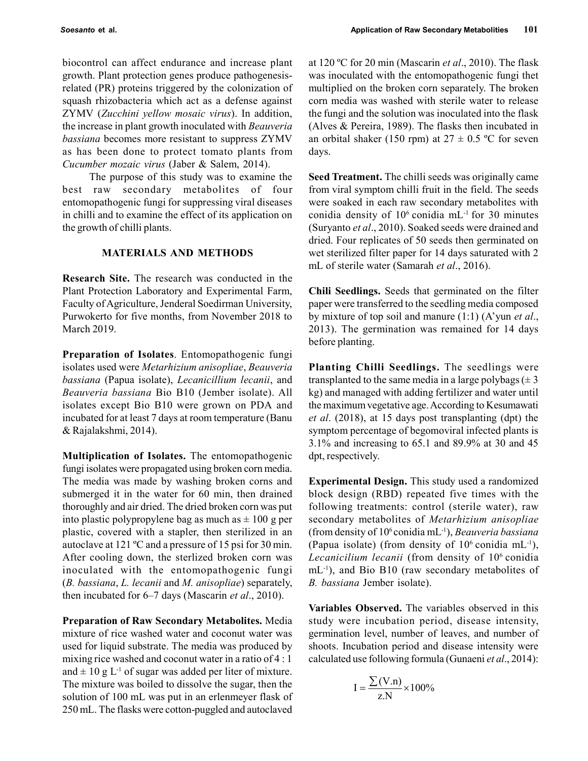biocontrol can affect endurance and increase plant growth. Plant protection genes produce pathogenesisrelated (PR) proteins triggered by the colonization of squash rhizobacteria which act as a defense against ZYMV (Zucchini yellow mosaic virus). In addition, the increase in plant growth inoculated with Beauveria bassiana becomes more resistant to suppress ZYMV as has been done to protect tomato plants from Cucumber mozaic virus (Jaber & Salem, 2014).

The purpose of this study was to examine the best raw secondary metabolites of four entomopathogenic fungi for suppressing viral diseases in chilli and to examine the effect of its application on the growth of chilli plants.

# MATERIALS AND METHODS

Research Site. The research was conducted in the Plant Protection Laboratory and Experimental Farm, Faculty of Agriculture, Jenderal Soedirman University, Purwokerto for five months, from November 2018 to March 2019.

Preparation of Isolates. Entomopathogenic fungi isolates used were Metarhizium anisopliae, Beauveria bassiana (Papua isolate), Lecanicillium lecanii, and Beauveria bassiana Bio B10 (Jember isolate). All isolates except Bio B10 were grown on PDA and incubated for at least 7 days at room temperature (Banu & Rajalakshmi, 2014).

Multiplication of Isolates. The entomopathogenic fungi isolates were propagated using broken corn media. The media was made by washing broken corns and submerged it in the water for 60 min, then drained thoroughly and air dried. The dried broken corn was put into plastic polypropylene bag as much as  $\pm 100$  g per plastic, covered with a stapler, then sterilized in an autoclave at 121 ºC and a pressure of 15 psi for 30 min. After cooling down, the sterlized broken corn was inoculated with the entomopathogenic fungi  $(B.$  bassiana,  $L.$  lecanii and  $M.$  anisopliae) separately, then incubated for  $6-7$  days (Mascarin *et al.*, 2010).

Preparation of Raw Secondary Metabolites. Media mixture of rice washed water and coconut water was used for liquid substrate. The media was produced by mixing rice washed and coconut water in a ratio of 4 : 1 and  $\pm$  10 g L<sup>-1</sup> of sugar was added per liter of mixture. The mixture was boiled to dissolve the sugar, then the solution of 100 mL was put in an erlenmeyer flask of 250 mL. The flasks were cotton-puggled and autoclaved at 120 °C for 20 min (Mascarin *et al.*, 2010). The flask was inoculated with the entomopathogenic fungi thet multiplied on the broken corn separately. The broken corn media was washed with sterile water to release the fungi and the solution was inoculated into the flask (Alves & Pereira, 1989). The flasks then incubated in an orbital shaker (150 rpm) at  $27 \pm 0.5$  °C for seven days.

Seed Treatment. The chilli seeds was originally came from viral symptom chilli fruit in the field. The seeds were soaked in each raw secondary metabolites with conidia density of  $10^6$  conidia mL<sup>-1</sup> for 30 minutes (Suryanto et al., 2010). Soaked seeds were drained and dried. Four replicates of 50 seeds then germinated on wet sterilized filter paper for 14 days saturated with 2 mL of sterile water (Samarah et al., 2016).

Chili Seedlings. Seeds that germinated on the filter paper were transferred to the seedling media composed by mixture of top soil and manure  $(1:1)$  (A'yun et al., 2013). The germination was remained for 14 days before planting.

Planting Chilli Seedlings. The seedlings were transplanted to the same media in a large polybags  $(\pm 3)$ kg) and managed with adding fertilizer and water until the maximum vegetative age. According to Kesumawati et al. (2018), at 15 days post transplanting (dpt) the symptom percentage of begomoviral infected plants is 3.1% and increasing to 65.1 and 89.9% at 30 and 45 dpt, respectively.

Experimental Design. This study used a randomized block design (RBD) repeated five times with the following treatments: control (sterile water), raw secondary metabolites of Metarhizium anisopliae (from density of  $10^6$  conidia mL<sup>-1</sup>), Beauveria bassiana (Papua isolate) (from density of  $10^6$  conidia mL<sup>-1</sup>), Lecanicilium lecanii (from density of 10<sup>6</sup> conidia mL<sup>-1</sup>), and Bio B10 (raw secondary metabolites of B. bassiana Jember isolate).

Variables Observed. The variables observed in this study were incubation period, disease intensity, germination level, number of leaves, and number of shoots. Incubation period and disease intensity were calculated use following formula (Gunaeni et al., 2014):

$$
I = \frac{\sum (V.n)}{z.N} \times 100\%
$$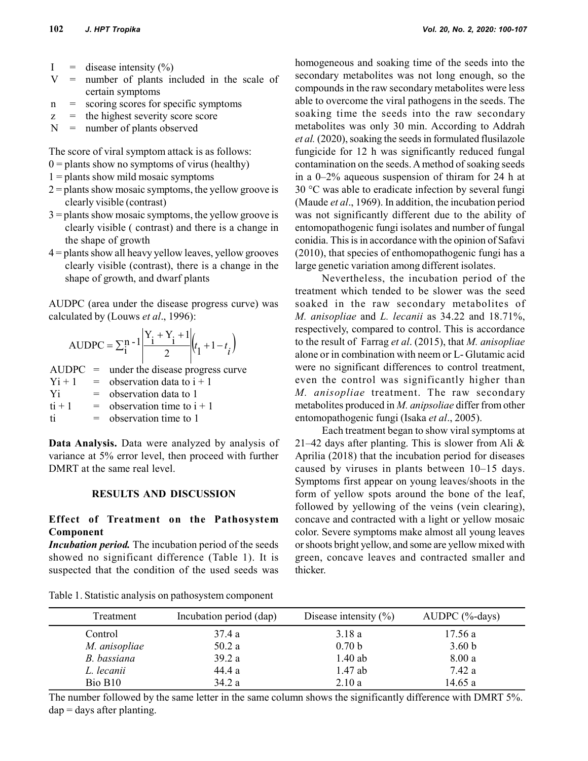- $I =$  disease intensity  $(\%)$
- $V =$  number of plants included in the scale of certain symptoms
- n = scoring scores for specific symptoms
- $z =$  the highest severity score score
- N = number of plants observed

The score of viral symptom attack is as follows:

- $0 =$  plants show no symptoms of virus (healthy)
- $1 =$  plants show mild mosaic symptoms
- $2 =$  plants show mosaic symptoms, the yellow groove is clearly visible (contrast)
- $3 =$  plants show mosaic symptoms, the yellow groove is clearly visible ( contrast) and there is a change in the shape of growth
- 4 = plants show all heavy yellow leaves, yellow grooves clearly visible (contrast), there is a change in the shape of growth, and dwarf plants

AUDPC (area under the disease progress curve) was calculated by (Louws et al., 1996):

AUDPC = 
$$
\sum_{i}^{n-1} \left| \frac{Y_i + Y_i + 1}{2} \right| (t_1 + 1 - t_i)
$$

 $AUDPC =$  under the disease progress curve  $Y_i + 1$  = observation data to  $i + 1$  $Y_i$  = observation data to 1  $t_i + 1$  = observation time to  $i + 1$  $t_i$  = observation time to 1

Data Analysis. Data were analyzed by analysis of variance at 5% error level, then proceed with further DMRT at the same real level.

#### RESULTS AND DISCUSSION

## Effect of Treatment on the Pathosystem Component

Incubation period. The incubation period of the seeds showed no significant difference (Table 1). It is suspected that the condition of the used seeds was

e symptoms<br>
able to overcome the viral pathogens in the seeds. The<br>
soaking time the viral pathogens in the seeds. The<br>
soaking time the seeds into the raw secondary<br>
matholities was only 30 min. According to Addrah<br>
etal homogeneous and soaking time of the seeds into the secondary metabolites was not long enough, so the compounds in the raw secondary metabolites were less able to overcome the viral pathogens in the seeds. The soaking time the seeds into the raw secondary metabolites was only 30 min. According to Addrah et al. (2020), soaking the seeds in formulated flusilazole fungicide for 12 h was significantly reduced fungal contamination on the seeds. A method of soaking seeds in a 0–2% aqueous suspension of thiram for 24 h at 30 °C was able to eradicate infection by several fungi (Maude et al., 1969). In addition, the incubation period was not significantly different due to the ability of entomopathogenic fungi isolates and number of fungal conidia. This is in accordance with the opinion of Safavi (2010), that species of enthomopathogenic fungi has a large genetic variation among different isolates.

Nevertheless, the incubation period of the treatment which tended to be slower was the seed soaked in the raw secondary metabolites of M. anisopliae and L. lecanii as 34.22 and 18.71%, respectively, compared to control. This is accordance to the result of Farrag et al. (2015), that M. anisopliae alone or in combination with neem or L- Glutamic acid were no significant differences to control treatment, even the control was significantly higher than M. anisopliae treatment. The raw secondary metabolites produced in M. anipsoliae differ from other entomopathogenic fungi (Isaka et al., 2005).

Each treatment began to show viral symptoms at 21–42 days after planting. This is slower from Ali  $\&$ Aprilia (2018) that the incubation period for diseases caused by viruses in plants between 10–15 days. Symptoms first appear on young leaves/shoots in the form of yellow spots around the bone of the leaf, followed by yellowing of the veins (vein clearing), concave and contracted with a light or yellow mosaic color. Severe symptoms make almost all young leaves or shoots bright yellow, and some are yellow mixed with green, concave leaves and contracted smaller and thicker.

| Treatment           | Incubation period (dap) | Disease intensity $(\% )$ | $AUDPC$ (%-days)  |
|---------------------|-------------------------|---------------------------|-------------------|
| Control             | 37.4 a                  | 3.18a                     | 17.56a            |
| M. anisopliae       | 50.2a                   | 0.70 <sub>b</sub>         | 3.60 <sub>b</sub> |
| B. bassiana         | 39.2 a                  | $1.40$ ab                 | 8.00 a            |
| L. lecanii          | 44.4 a                  | $1.47$ ab                 | 7.42 a            |
| Bio B <sub>10</sub> | 34.2 a                  | 2.10a                     | 14.65a            |

Table 1. Statistic analysis on pathosystem component

The number followed by the same letter in the same column shows the significantly difference with DMRT 5%.  $dap = days$  after planting.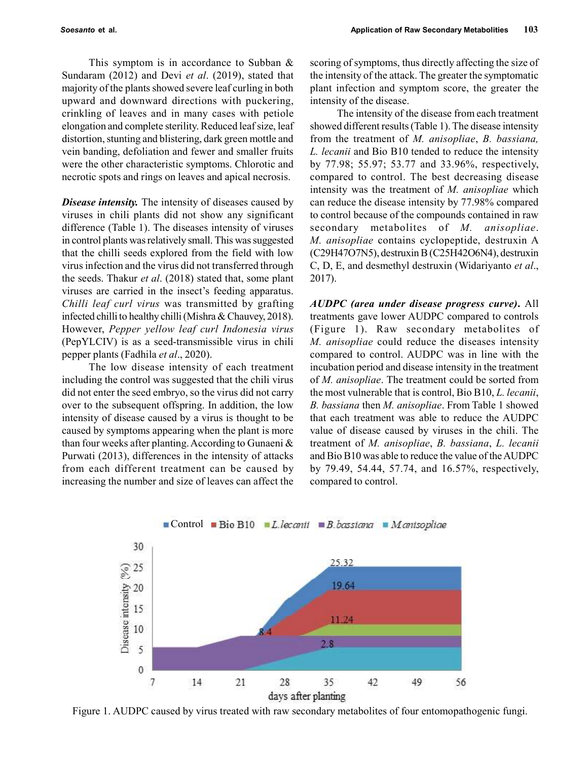This symptom is in accordance to Subban & Sundaram (2012) and Devi et al. (2019), stated that majority of the plants showed severe leaf curling in both upward and downward directions with puckering, crinkling of leaves and in many cases with petiole elongation and complete sterility. Reduced leaf size, leaf distortion, stunting and blistering, dark green mottle and vein banding, defoliation and fewer and smaller fruits were the other characteristic symptoms. Chlorotic and necrotic spots and rings on leaves and apical necrosis.

**Disease intensity.** The intensity of diseases caused by viruses in chili plants did not show any significant difference (Table 1). The diseases intensity of viruses in control plants was relatively small. This was suggested that the chilli seeds explored from the field with low virus infection and the virus did not transferred through the seeds. Thakur *et al.* (2018) stated that, some plant viruses are carried in the insect's feeding apparatus. Chilli leaf curl virus was transmitted by grafting infected chilli to healthy chilli (Mishra & Chauvey, 2018). However, Pepper yellow leaf curl Indonesia virus (PepYLCIV) is as a seed-transmissible virus in chili pepper plants (Fadhila et al., 2020).

The low disease intensity of each treatment including the control was suggested that the chili virus did not enter the seed embryo, so the virus did not carry over to the subsequent offspring. In addition, the low intensity of disease caused by a virus is thought to be caused by symptoms appearing when the plant is more than four weeks after planting. According to Gunaeni & Purwati (2013), differences in the intensity of attacks from each different treatment can be caused by increasing the number and size of leaves can affect the

scoring of symptoms, thus directly affecting the size of the intensity of the attack. The greater the symptomatic plant infection and symptom score, the greater the intensity of the disease.

The intensity of the disease from each treatment showed different results (Table 1). The disease intensity from the treatment of M. anisopliae, B. bassiana, L. lecanii and Bio B10 tended to reduce the intensity by 77.98; 55.97; 53.77 and 33.96%, respectively, compared to control. The best decreasing disease intensity was the treatment of M. anisopliae which can reduce the disease intensity by 77.98% compared to control because of the compounds contained in raw secondary metabolites of M. anisopliae. M. anisopliae contains cyclopeptide, destruxin A (C29H47O7N5), destruxin B (C25H42O6N4), destruxin C, D, E, and desmethyl destruxin (Widariyanto et al., 2017).

AUDPC (area under disease progress curve). All treatments gave lower AUDPC compared to controls (Figure 1). Raw secondary metabolites of M. anisopliae could reduce the diseases intensity compared to control. AUDPC was in line with the incubation period and disease intensity in the treatment of M. anisopliae. The treatment could be sorted from the most vulnerable that is control, Bio B10, L. lecanii, B. bassiana then M. anisopliae. From Table 1 showed that each treatment was able to reduce the AUDPC value of disease caused by viruses in the chili. The treatment of M. anisopliae, B. bassiana, L. lecanii and Bio B10 was able to reduce the value of the AUDPC by 79.49, 54.44, 57.74, and 16.57%, respectively, compared to control.



Figure 1. AUDPC caused by virus treated with raw secondary metabolites of four entomopathogenic fungi.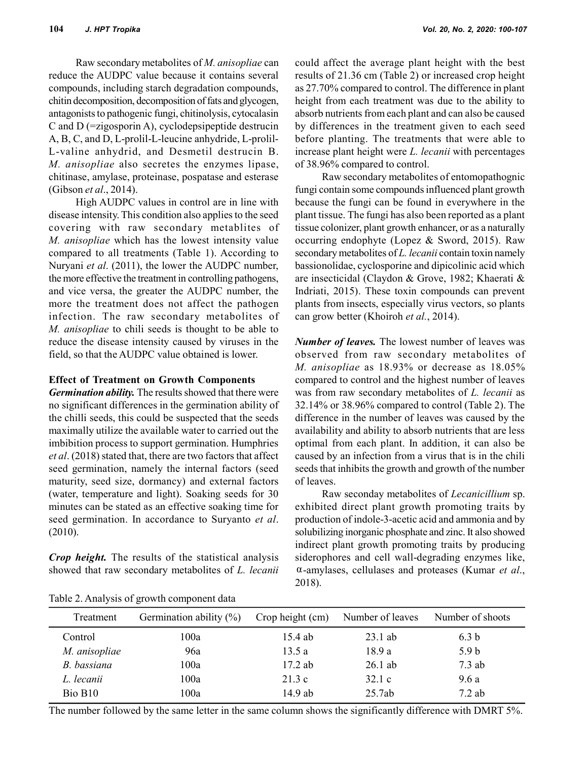Raw secondary metabolites of M. anisopliae can reduce the AUDPC value because it contains several compounds, including starch degradation compounds, chitin decomposition, decomposition of fats and glycogen, antagonists to pathogenic fungi, chitinolysis, cytocalasin C and D (=zigosporin A), cyclodepsipeptide destrucin A, B, C, and D, L-prolil-L-leucine anhydride, L-prolil-L-valine anhydrid, and Desmetil destrucin B. M. anisopliae also secretes the enzymes lipase, chitinase, amylase, proteinase, pospatase and esterase (Gibson et al., 2014).

High AUDPC values in control are in line with disease intensity. This condition also applies to the seed covering with raw secondary metablites of M. anisopliae which has the lowest intensity value compared to all treatments (Table 1). According to Nurvani *et al.* (2011), the lower the AUDPC number, the more effective the treatment in controlling pathogens, and vice versa, the greater the AUDPC number, the more the treatment does not affect the pathogen infection. The raw secondary metabolites of M. anisopliae to chili seeds is thought to be able to reduce the disease intensity caused by viruses in the field, so that the AUDPC value obtained is lower.

#### Effect of Treatment on Growth Components

Germination ability. The results showed that there were no significant differences in the germination ability of the chilli seeds, this could be suspected that the seeds maximally utilize the available water to carried out the imbibition process to support germination. Humphries et al. (2018) stated that, there are two factors that affect seed germination, namely the internal factors (seed maturity, seed size, dormancy) and external factors (water, temperature and light). Soaking seeds for 30 minutes can be stated as an effective soaking time for seed germination. In accordance to Suryanto et al. (2010).

**Crop height.** The results of the statistical analysis showed that raw secondary metabolites of L. lecanii

could affect the average plant height with the best results of 21.36 cm (Table 2) or increased crop height as 27.70% compared to control. The difference in plant height from each treatment was due to the ability to absorb nutrients from each plant and can also be caused by differences in the treatment given to each seed before planting. The treatments that were able to increase plant height were *L. lecanii* with percentages of 38.96% compared to control.

Raw secondary metabolites of entomopathognic fungi contain some compounds influenced plant growth because the fungi can be found in everywhere in the plant tissue. The fungi has also been reported as a plant tissue colonizer, plant growth enhancer, or as a naturally occurring endophyte (Lopez & Sword, 2015). Raw secondary metabolites of L. lecanii contain toxin namely bassionolidae, cyclosporine and dipicolinic acid which are insecticidal (Claydon & Grove, 1982; Khaerati & Indriati, 2015). These toxin compounds can prevent plants from insects, especially virus vectors, so plants can grow better (Khoiroh et al., 2014).

**Number of leaves.** The lowest number of leaves was observed from raw secondary metabolites of M. anisopliae as 18.93% or decrease as 18.05% compared to control and the highest number of leaves was from raw secondary metabolites of L. lecanii as 32.14% or 38.96% compared to control (Table 2). The difference in the number of leaves was caused by the availability and ability to absorb nutrients that are less optimal from each plant. In addition, it can also be caused by an infection from a virus that is in the chili seeds that inhibits the growth and growth of the number of leaves.

Raw seconday metabolites of Lecanicillium sp. exhibited direct plant growth promoting traits by production of indole-3-acetic acid and ammonia and by solubilizing inorganic phosphate and zinc. It also showed indirect plant growth promoting traits by producing siderophores and cell wall-degrading enzymes like,  $\alpha$ -amylases, cellulases and proteases (Kumar et al., 2018).

| Table 2. Analysis of growth component data |  |
|--------------------------------------------|--|
|                                            |  |

| Treatment     | Germination ability $(\%)$ | Crop height (cm) | Number of leaves | Number of shoots |
|---------------|----------------------------|------------------|------------------|------------------|
| Control       | 100a                       | $15.4$ ab        | $23.1$ ab        | 6.3 <sub>b</sub> |
| M. anisopliae | 96a                        | 13.5 a           | 18.9 a           | 5.9 <sub>b</sub> |
| B. bassiana   | 100a                       | $17.2$ ab        | $26.1$ ab        | $7.3$ ab         |
| L. lecanii    | 100a                       | 21.3c            | 32.1c            | 9.6 a            |
| Bio B10       | 100a                       | 14.9 ab          | 25.7ab           | $7.2$ ab         |

The number followed by the same letter in the same column shows the significantly difference with DMRT 5%.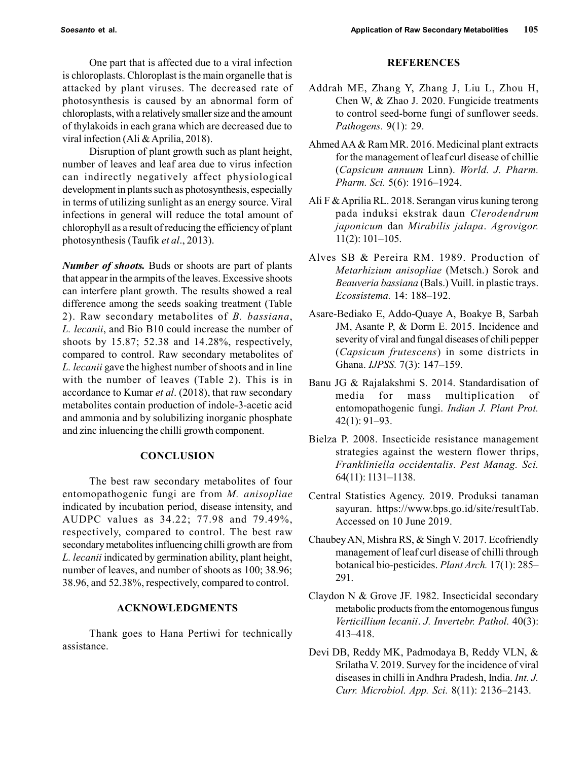One part that is affected due to a viral infection is chloroplasts. Chloroplast is the main organelle that is attacked by plant viruses. The decreased rate of photosynthesis is caused by an abnormal form of chloroplasts, with a relatively smaller size and the amount of thylakoids in each grana which are decreased due to viral infection (Ali & Aprilia, 2018).

Disruption of plant growth such as plant height, number of leaves and leaf area due to virus infection can indirectly negatively affect physiological development in plants such as photosynthesis, especially in terms of utilizing sunlight as an energy source. Viral infections in general will reduce the total amount of chlorophyll as a result of reducing the efficiency of plant photosynthesis (Taufik et al., 2013).

Number of shoots. Buds or shoots are part of plants that appear in the armpits of the leaves. Excessive shoots can interfere plant growth. The results showed a real difference among the seeds soaking treatment (Table 2). Raw secondary metabolites of B. bassiana, L. lecanii, and Bio B10 could increase the number of shoots by 15.87; 52.38 and 14.28%, respectively, compared to control. Raw secondary metabolites of L. lecanii gave the highest number of shoots and in line with the number of leaves (Table 2). This is in accordance to Kumar et al. (2018), that raw secondary metabolites contain production of indole-3-acetic acid and ammonia and by solubilizing inorganic phosphate and zinc inluencing the chilli growth component.

#### **CONCLUSION**

The best raw secondary metabolites of four entomopathogenic fungi are from M. anisopliae indicated by incubation period, disease intensity, and AUDPC values as 34.22; 77.98 and 79.49%, respectively, compared to control. The best raw secondary metabolites influencing chilli growth are from L. lecanii indicated by germination ability, plant height, number of leaves, and number of shoots as 100; 38.96; 38.96, and 52.38%, respectively, compared to control.

# ACKNOWLEDGMENTS

Thank goes to Hana Pertiwi for technically assistance.

## REFERENCES

- Addrah ME, Zhang Y, Zhang J, Liu L, Zhou H, Chen W, & Zhao J. 2020. Fungicide treatments to control seed-borne fungi of sunflower seeds. Pathogens. 9(1): 29.
- Ahmed AA & Ram MR. 2016. Medicinal plant extracts for the management of leaf curl disease of chillie (Capsicum annuum Linn). World. J. Pharm. Pharm. Sci. 5(6): 1916–1924.
- Ali F & Aprilia RL. 2018. Serangan virus kuning terong pada induksi ekstrak daun Clerodendrum japonicum dan Mirabilis jalapa. Agrovigor. 11(2): 101–105.
- Alves SB & Pereira RM. 1989. Production of Metarhizium anisopliae (Metsch.) Sorok and Beauveria bassiana (Bals.) Vuill. in plastic trays. Ecossistema. 14: 188–192.
- Asare-Bediako E, Addo-Quaye A, Boakye B, Sarbah JM, Asante P, & Dorm E. 2015. Incidence and severity of viral and fungal diseases of chili pepper (Capsicum frutescens) in some districts in Ghana. IJPSS. 7(3): 147–159.
- Banu JG & Rajalakshmi S. 2014. Standardisation of media for mass multiplication of entomopathogenic fungi. Indian J. Plant Prot. 42(1): 91–93.
- Bielza P. 2008. Insecticide resistance management strategies against the western flower thrips, Frankliniella occidentalis. Pest Manag. Sci. 64(11): 1131–1138.
- Central Statistics Agency. 2019. Produksi tanaman sayuran. https://www.bps.go.id/site/resultTab. Accessed on 10 June 2019.
- Chaubey AN, Mishra RS, & Singh V. 2017. Ecofriendly management of leaf curl disease of chilli through botanical bio-pesticides. Plant Arch. 17(1): 285– 291.
- Claydon N & Grove JF. 1982. Insecticidal secondary metabolic products from the entomogenous fungus Verticillium lecanii. J. Invertebr. Pathol. 40(3): 413–418.
- Devi DB, Reddy MK, Padmodaya B, Reddy VLN, & Srilatha V. 2019. Survey for the incidence of viral diseases in chilli in Andhra Pradesh, India. Int. J. Curr. Microbiol. App. Sci. 8(11): 2136–2143.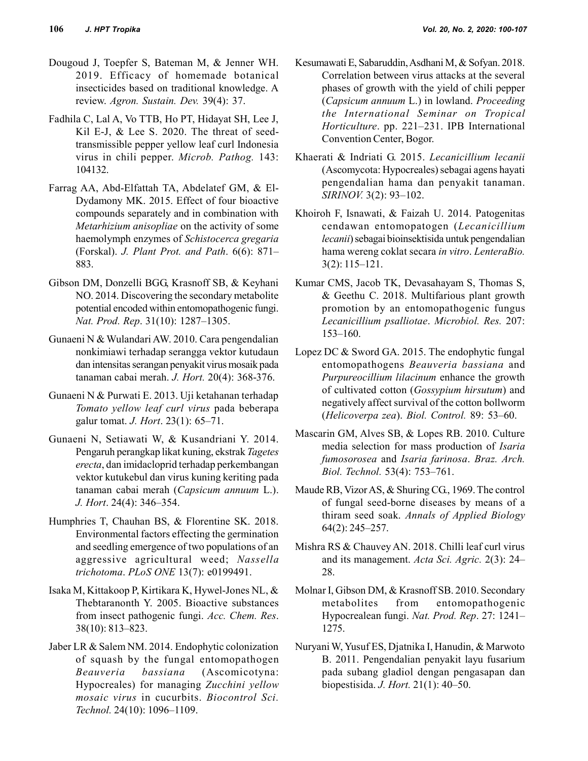- Dougoud J, Toepfer S, Bateman M, & Jenner WH. 2019. Efficacy of homemade botanical insecticides based on traditional knowledge. A review. Agron. Sustain. Dev. 39(4): 37.
- Fadhila C, Lal A, Vo TTB, Ho PT, Hidayat SH, Lee J, Kil E-J, & Lee S. 2020. The threat of seedtransmissible pepper yellow leaf curl Indonesia virus in chili pepper. Microb. Pathog. 143: 104132.
- Farrag AA, Abd-Elfattah TA, Abdelatef GM, & El-Dydamony MK. 2015. Effect of four bioactive compounds separately and in combination with Metarhizium anisopliae on the activity of some haemolymph enzymes of Schistocerca gregaria (Forskal). J. Plant Prot. and Path. 6(6): 871– 883.
- Gibson DM, Donzelli BGG, Krasnoff SB, & Keyhani NO. 2014. Discovering the secondary metabolite potential encoded within entomopathogenic fungi. Nat. Prod. Rep. 31(10): 1287–1305.
- Gunaeni N & Wulandari AW. 2010. Cara pengendalian nonkimiawi terhadap serangga vektor kutudaun dan intensitas serangan penyakit virus mosaik pada tanaman cabai merah. J. Hort. 20(4): 368-376.
- Gunaeni N & Purwati E. 2013. Uji ketahanan terhadap Tomato yellow leaf curl virus pada beberapa galur tomat. J. Hort. 23(1): 65–71.
- Gunaeni N, Setiawati W, & Kusandriani Y. 2014. Pengaruh perangkap likat kuning, ekstrak Tagetes erecta, dan imidacloprid terhadap perkembangan vektor kutukebul dan virus kuning keriting pada tanaman cabai merah (Capsicum annuum L.). J. Hort. 24(4): 346–354.
- Humphries T, Chauhan BS, & Florentine SK. 2018. Environmental factors effecting the germination and seedling emergence of two populations of an aggressive agricultural weed; Nassella trichotoma. PLoS ONE 13(7): e0199491.
- Isaka M, Kittakoop P, Kirtikara K, Hywel-Jones NL, & Thebtaranonth Y. 2005. Bioactive substances from insect pathogenic fungi. Acc. Chem. Res. 38(10): 813–823.
- Jaber LR & Salem NM. 2014. Endophytic colonization of squash by the fungal entomopathogen Beauveria bassiana (Ascomicotyna: Hypocreales) for managing Zucchini yellow mosaic virus in cucurbits. Biocontrol Sci. Technol. 24(10): 1096–1109.
- Kesumawati E, Sabaruddin, Asdhani M, & Sofyan. 2018. Correlation between virus attacks at the several phases of growth with the yield of chili pepper (Capsicum annuum L.) in lowland. Proceeding the International Seminar on Tropical Horticulture. pp. 221–231. IPB International Convention Center, Bogor.
- Khaerati & Indriati G. 2015. Lecanicillium lecanii (Ascomycota: Hypocreales) sebagai agens hayati pengendalian hama dan penyakit tanaman. SIRINOV. 3(2): 93–102.
- Khoiroh F, Isnawati, & Faizah U. 2014. Patogenitas cendawan entomopatogen (Lecanicillium lecanii) sebagai bioinsektisida untuk pengendalian hama wereng coklat secara in vitro. LenteraBio. 3(2): 115–121.
- Kumar CMS, Jacob TK, Devasahayam S, Thomas S, & Geethu C. 2018. Multifarious plant growth promotion by an entomopathogenic fungus Lecanicillium psalliotae. Microbiol. Res. 207: 153–160.
- Lopez DC & Sword GA. 2015. The endophytic fungal entomopathogens Beauveria bassiana and Purpureocillium lilacinum enhance the growth of cultivated cotton (Gossypium hirsutum) and negatively affect survival of the cotton bollworm (Helicoverpa zea). Biol. Control. 89: 53–60.
- Mascarin GM, Alves SB, & Lopes RB. 2010. Culture media selection for mass production of Isaria fumosorosea and Isaria farinosa. Braz. Arch. Biol. Technol. 53(4): 753–761.
- Maude RB, Vizor AS, & Shuring CG., 1969. The control of fungal seed-borne diseases by means of a thiram seed soak. Annals of Applied Biology 64(2): 245–257.
- Mishra RS & Chauvey AN. 2018. Chilli leaf curl virus and its management. Acta Sci. Agric. 2(3): 24– 28.
- Molnar I, Gibson DM, & Krasnoff SB. 2010. Secondary metabolites from entomopathogenic Hypocrealean fungi. Nat. Prod. Rep. 27: 1241– 1275.
- Nuryani W, Yusuf ES, Djatnika I, Hanudin, & Marwoto B. 2011. Pengendalian penyakit layu fusarium pada subang gladiol dengan pengasapan dan biopestisida. J. Hort. 21(1): 40–50.